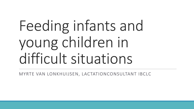## Feeding infants and young children in difficult situations

MYRTE VAN LONKHUIJSEN, LACTATIONCONSULTANT IBCLC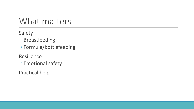### What matters

Safety

- Breastfeeding
- Formula/bottlefeeding
- Resilience
- Emotional safety

Practical help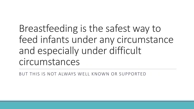Breastfeeding is the safest way to feed infants under any circumstance and especially under difficult circumstances

BUT THIS IS NOT ALWAYS WELL KNOWN OR SUPPORTED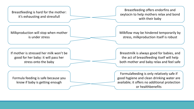Breastfeeding is hard for the mother: it's exhausting and stressfull

Breastfeeding offers endorfins and oxytocin to help mothers relax and bond with their baby

Milkproduction will stop when mother is under stress

Milkflow may be hindered temporarily by stress, milkproduction itself is robust

If mother is stressed her milk won't be good for her baby: it will pass her stress onto the baby

Breastmilk is always good for babies, and the act of breastfeeding itself will help both mother and baby relax and feel safe

Formula feeding is safe because you know if baby is getting enough

Formulafeeding is only relatively safe if good hygiene and clean drinking water are available; it offers no additional protection or healthbenefits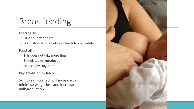### Breastfeeding

#### Feed early

- First hour after birth
- Don't stretch time between feeds to a schedule

#### Feed often

- This does not take more time
- Stimulates milkproduction
- Helps baby stay calm

#### Pay attention to latch

Skin to skin contact will increase calm, minimise weightloss and increase milkproduction

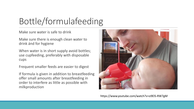## Bottle/formulafeeding

Make sure water is safe to drink

Make sure there is enough clean water to drink ánd for hygiene

When water is in short supply avoid bottles; use cupfeeding, preferably with disposable cups

Frequent smaller feeds are easier to digest

If formula is given in addition to breastfeeding offer small amounts after breastfeeding in order to interfere as little as possible with milkproduction



https://www.youtube.com/watch?v=o9ElS-RW7gM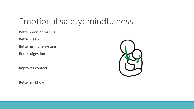### Emotional safety: mindfulness

Better decisionmaking

Better sleep

Better immune system

Better digestion

Improves contact

Better milkflow

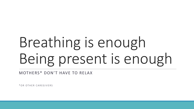# Breathing is enough Being present is enough

MOTHERS\* DON'T HAVE TO RELAX

\* O R O T H E R C A R E G I V E R S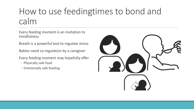### How to use feedingtimes to bond and calm

Every feeding moment is an invitation to mindfulness

Breath is a powerful tool to regulate stress

Babies need co-regulation by a caregiver

Every feeding moment may hopefully offer

- Physically safe food
- Emotionally safe feeding